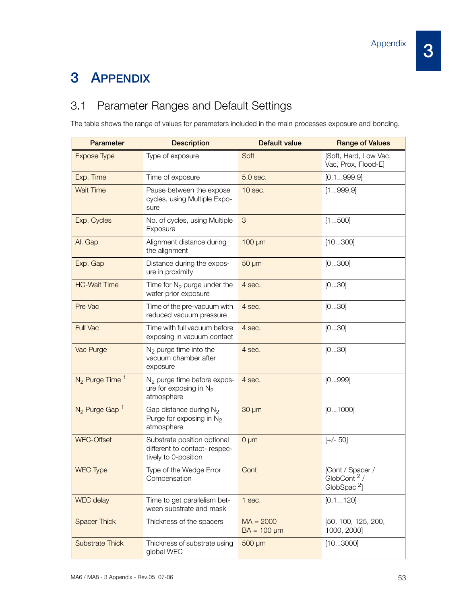## 3 APPENDIX

## 3.1 Parameter Ranges and Default Settings

The table shows the range of values for parameters included in the main processes exposure and bonding.

| <b>Parameter</b>             | <b>Description</b>                                                                   | Default value                   | <b>Range of Values</b>                               |
|------------------------------|--------------------------------------------------------------------------------------|---------------------------------|------------------------------------------------------|
| <b>Expose Type</b>           | Type of exposure                                                                     | Soft                            | [Soft, Hard, Low Vac,<br>Vac, Prox, Flood-El         |
| Exp. Time                    | Time of exposure                                                                     | 5.0 sec.                        | [0.1999.9]                                           |
| <b>Wait Time</b>             | Pause between the expose<br>cycles, using Multiple Expo-<br>sure                     | 10 sec.                         | [1999,9]                                             |
| Exp. Cycles                  | No. of cycles, using Multiple<br>Exposure                                            | 3                               | [1500]                                               |
| Al. Gap                      | Alignment distance during<br>the alignment                                           | $100 \mu m$                     | [10300]                                              |
| Exp. Gap                     | Distance during the expos-<br>ure in proximity                                       | $50 \mu m$                      | [0300]                                               |
| <b>HC-Wait Time</b>          | Time for $N_2$ purge under the<br>wafer prior exposure                               | 4 sec.                          | [030]                                                |
| Pre Vac                      | Time of the pre-vacuum with<br>reduced vacuum pressure                               | 4 sec.                          | [030]                                                |
| <b>Full Vac</b>              | Time with full vacuum before<br>exposing in vacuum contact                           | 4 sec.                          | [030]                                                |
| Vac Purge                    | $N_2$ purge time into the<br>vacuum chamber after<br>exposure                        | 4 sec.                          | [030]                                                |
| $N_2$ Purge Time $1$         | $N2$ purge time before expos-<br>ure for exposing in $N_2$<br>atmosphere             | 4 sec.                          | [0999]                                               |
| $N_2$ Purge Gap <sup>1</sup> | Gap distance during $N_2$<br>Purge for exposing in $N_2$<br>atmosphere               | 30 µm                           | [01000]                                              |
| <b>WEC-Offset</b>            | Substrate position optional<br>different to contact- respec-<br>tively to 0-position | $0 \mu m$                       | $[+/50]$                                             |
| <b>WEC Type</b>              | Type of the Wedge Error<br>Compensation                                              | Cont                            | [Cont / Spacer /<br>GlobCont $2/$<br>GlobSpac $^2$ ] |
| WEC delay                    | Time to get parallelism bet-<br>ween substrate and mask                              | 1 sec.                          | [0,1120]                                             |
| <b>Spacer Thick</b>          | Thickness of the spacers                                                             | $MA = 2000$<br>$BA = 100 \mu m$ | [50, 100, 125, 200,<br>1000, 2000]                   |
| <b>Substrate Thick</b>       | Thickness of substrate using<br>global WEC                                           | $500 \mu m$                     | [103000]                                             |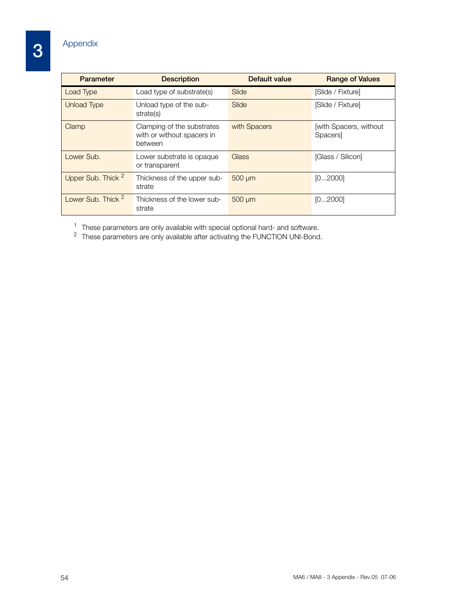3

| <b>Parameter</b>              | <b>Description</b>                                                  | Default value | <b>Range of Values</b>             |
|-------------------------------|---------------------------------------------------------------------|---------------|------------------------------------|
| Load Type                     | Load type of substrate(s)                                           | Slide         | [Slide / Fixture]                  |
| <b>Unload Type</b>            | Unload type of the sub-<br>strate(s)                                | Slide         | [Slide / Fixture]                  |
| Clamp                         | Clamping of the substrates<br>with or without spacers in<br>between | with Spacers  | [with Spacers, without]<br>Spacers |
| Lower Sub.                    | Lower substrate is opaque<br>or transparent                         | Glass         | [Glass / Silicon]                  |
| Upper Sub. Thick <sup>2</sup> | Thickness of the upper sub-<br>strate                               | 500 µm        | [02000]                            |
| Lower Sub. Thick <sup>2</sup> | Thickness of the lower sub-<br>strate                               | $500 \mu m$   | [02000]                            |

 $1$  These parameters are only available with special optional hard- and software.

 $2$  These parameters are only available after activating the FUNCTION UNI-Bond.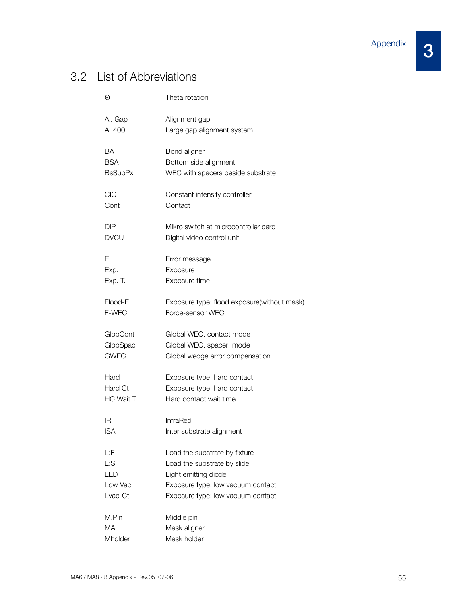3

## 3.2 List of Abbreviations

| Θ              | Theta rotation                              |  |
|----------------|---------------------------------------------|--|
| Al. Gap        | Alignment gap                               |  |
| AL400          | Large gap alignment system                  |  |
| ВA             | Bond aligner                                |  |
| <b>BSA</b>     | Bottom side alignment                       |  |
| <b>BsSubPx</b> | WEC with spacers beside substrate           |  |
| CIC            | Constant intensity controller               |  |
| Cont           | Contact                                     |  |
| <b>DIP</b>     | Mikro switch at microcontroller card        |  |
| <b>DVCU</b>    | Digital video control unit                  |  |
| Е              | Error message                               |  |
| Exp.           | Exposure                                    |  |
| Exp. T.        | Exposure time                               |  |
| Flood-E        | Exposure type: flood exposure(without mask) |  |
| F-WEC          | Force-sensor WEC                            |  |
| GlobCont       | Global WEC, contact mode                    |  |
| GlobSpac       | Global WEC, spacer mode                     |  |
| <b>GWEC</b>    | Global wedge error compensation             |  |
| Hard           | Exposure type: hard contact                 |  |
| Hard Ct        | Exposure type: hard contact                 |  |
| HC Wait T.     | Hard contact wait time                      |  |
| ΙR             | InfraRed                                    |  |
| ISA            | Inter substrate alignment                   |  |
| L:F            | Load the substrate by fixture               |  |
| Ŀ:S            | Load the substrate by slide                 |  |
| I FD           | Light emitting diode                        |  |
| Low Vac        | Exposure type: low vacuum contact           |  |
| Lvac-Ct        | Exposure type: low vacuum contact           |  |
| M.Pin          | Middle pin                                  |  |
| МA             | Mask aligner                                |  |
| Mholder        | Mask holder                                 |  |
|                |                                             |  |